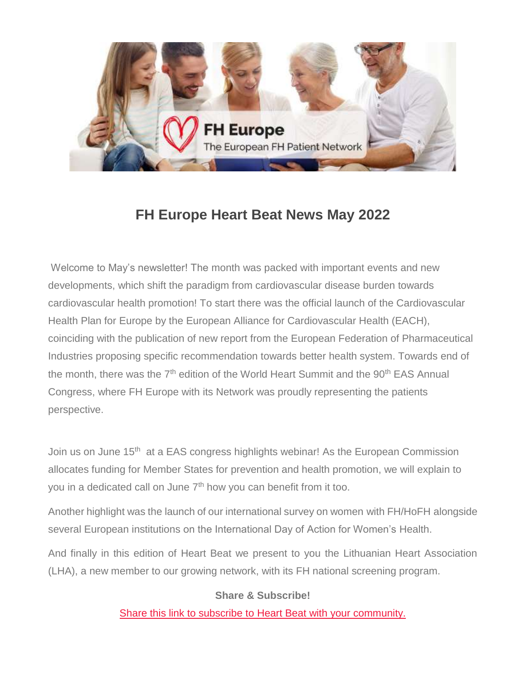

# **FH Europe Heart Beat News May 2022**

Welcome to May's newsletter! The month was packed with important events and new developments, which shift the paradigm from cardiovascular disease burden towards cardiovascular health promotion! To start there was the official launch of the Cardiovascular Health Plan for Europe by the European Alliance for Cardiovascular Health (EACH), coinciding with the publication of new report from the European Federation of Pharmaceutical Industries proposing specific recommendation towards better health system. Towards end of the month, there was the  $7<sup>th</sup>$  edition of the World Heart Summit and the  $90<sup>th</sup>$  EAS Annual Congress, where FH Europe with its Network was proudly representing the patients perspective.

Join us on June 15<sup>th</sup> at a EAS congress highlights webinar! As the European Commission allocates funding for Member States for prevention and health promotion, we will explain to you in a dedicated call on June 7<sup>th</sup> how you can benefit from it too.

Another highlight was the launch of our international survey on women with FH/HoFH alongside several European institutions on the International Day of Action for Women's Health.

And finally in this edition of Heart Beat we present to you the Lithuanian Heart Association (LHA), a new member to our growing network, with its FH national screening program.

#### **Share & Subscribe!**

[Share this link to subscribe to Heart Beat with your community.](https://fheurope.us2.list-manage.com/track/click?u=60930fdc325cffc47c2fb04ad&id=4572807fbc&e=981ab6495d)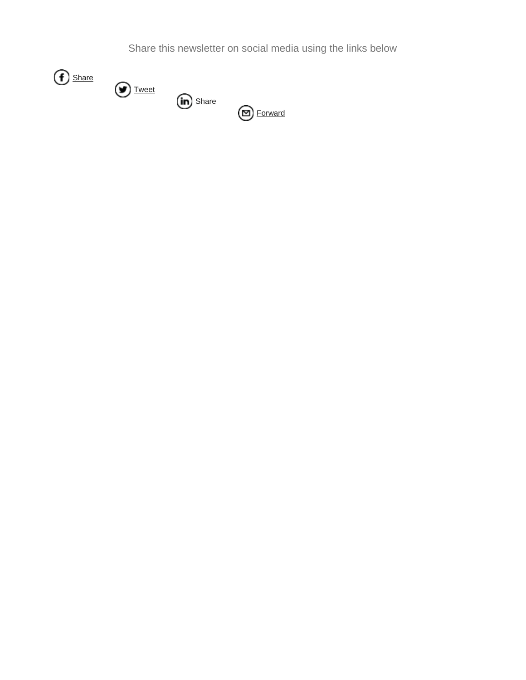Share this newsletter on social media using the links below

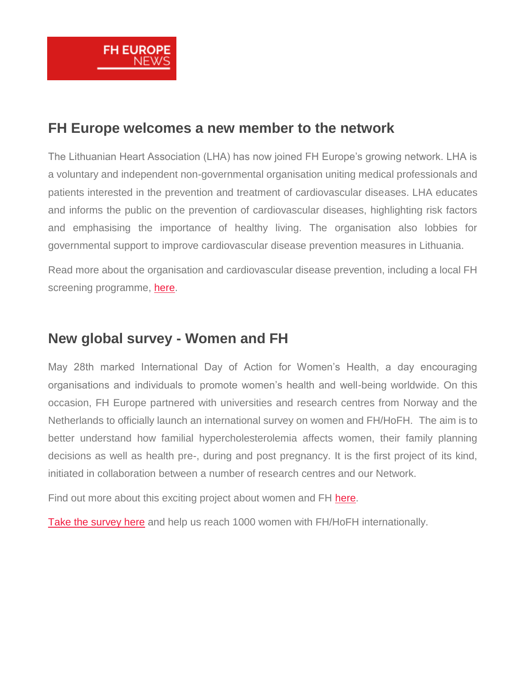

#### **FH Europe welcomes a new member to the network**

The Lithuanian Heart Association (LHA) has now joined FH Europe's growing network. LHA is a voluntary and independent non-governmental organisation uniting medical professionals and patients interested in the prevention and treatment of cardiovascular diseases. LHA educates and informs the public on the prevention of cardiovascular diseases, highlighting risk factors and emphasising the importance of healthy living. The organisation also lobbies for governmental support to improve cardiovascular disease prevention measures in Lithuania.

Read more about the organisation and cardiovascular disease prevention, including a local FH screening programme, [here.](https://fheurope.us2.list-manage.com/track/click?u=60930fdc325cffc47c2fb04ad&id=e530500bba&e=981ab6495d)

## **New global survey - Women and FH**

May 28th marked International Day of Action for Women's Health, a day encouraging organisations and individuals to promote women's health and well-being worldwide. On this occasion, FH Europe partnered with universities and research centres from Norway and the Netherlands to officially launch an international survey on women and FH/HoFH. The aim is to better understand how familial hypercholesterolemia affects women, their family planning decisions as well as health pre-, during and post pregnancy. It is the first project of its kind, initiated in collaboration between a number of research centres and our Network.

Find out more about this exciting project about women and FH [here.](https://fheurope.us2.list-manage.com/track/click?u=60930fdc325cffc47c2fb04ad&id=16b5cecfd1&e=981ab6495d)

[Take the survey here](https://fheurope.us2.list-manage.com/track/click?u=60930fdc325cffc47c2fb04ad&id=1c2cc2ed5e&e=981ab6495d) and help us reach 1000 women with FH/HoFH internationally.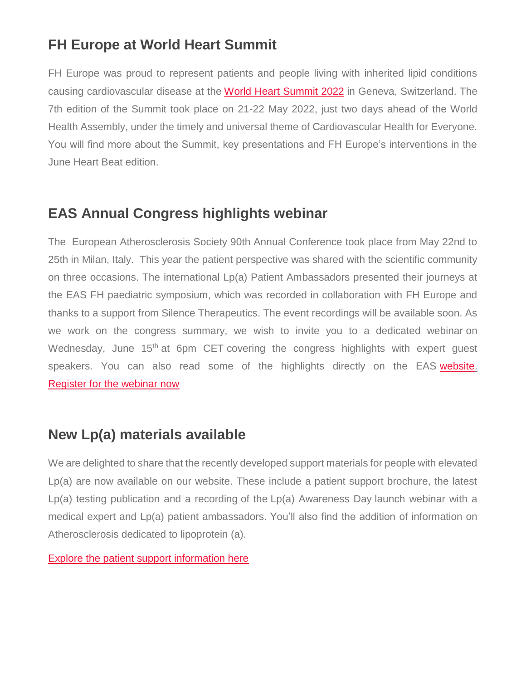# **FH Europe at World Heart Summit**

FH Europe was proud to represent patients and people living with inherited lipid conditions causing cardiovascular disease at the [World Heart Summit 2022](https://fheurope.us2.list-manage.com/track/click?u=60930fdc325cffc47c2fb04ad&id=d442185b39&e=981ab6495d) in Geneva, Switzerland. The 7th edition of the Summit took place on 21-22 May 2022, just two days ahead of the World Health Assembly, under the timely and universal theme of Cardiovascular Health for Everyone. You will find more about the Summit, key presentations and FH Europe's interventions in the June Heart Beat edition.

## **EAS Annual Congress highlights webinar**

The European Atherosclerosis Society 90th Annual Conference took place from May 22nd to 25th in Milan, Italy. This year the patient perspective was shared with the scientific community on three occasions. The international Lp(a) Patient Ambassadors presented their journeys at the EAS FH paediatric symposium, which was recorded in collaboration with FH Europe and thanks to a support from Silence Therapeutics. The event recordings will be available soon. As we work on the congress summary, we wish to invite you to a dedicated webinar on Wednesday, June 15<sup>th</sup> at 6pm CET covering the congress highlights with expert guest speakers. You can also read some of the highlights directly on the EAS [website.](https://fheurope.us2.list-manage.com/track/click?u=60930fdc325cffc47c2fb04ad&id=d5fd40d37d&e=981ab6495d) [Register for the webinar now](https://fheurope.us2.list-manage.com/track/click?u=60930fdc325cffc47c2fb04ad&id=7b1960d12c&e=981ab6495d)

# **New Lp(a) materials available**

We are delighted to share that the recently developed support materials for people with elevated Lp(a) are now available on our website. These include a patient support brochure, the latest Lp(a) testing publication and a recording of the Lp(a) Awareness Day launch webinar with a medical expert and Lp(a) patient ambassadors. You'll also find the addition of information on Atherosclerosis dedicated to lipoprotein (a).

[Explore the patient support information here](https://fheurope.us2.list-manage.com/track/click?u=60930fdc325cffc47c2fb04ad&id=f1489efa7b&e=981ab6495d)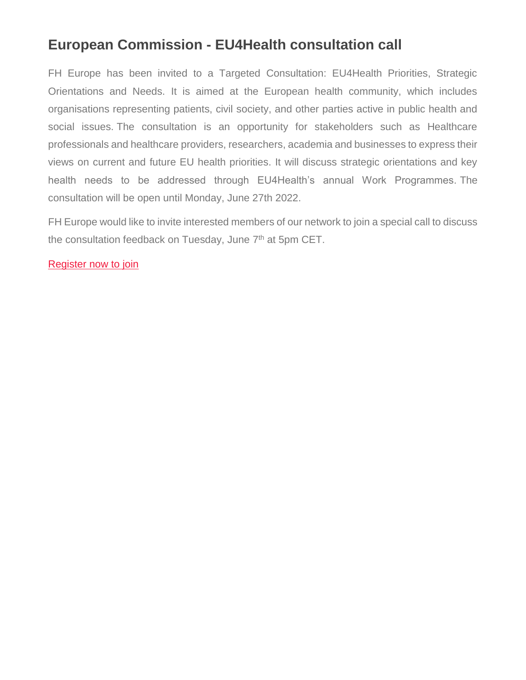# **European Commission - EU4Health consultation call**

FH Europe has been invited to a Targeted Consultation: EU4Health Priorities, Strategic Orientations and Needs. It is aimed at the European health community, which includes organisations representing patients, civil society, and other parties active in public health and social issues. The consultation is an opportunity for stakeholders such as Healthcare professionals and healthcare providers, researchers, academia and businesses to express their views on current and future EU health priorities. It will discuss strategic orientations and key health needs to be addressed through EU4Health's annual Work Programmes. The consultation will be open until Monday, June 27th 2022.

FH Europe would like to invite interested members of our network to join a special call to discuss the consultation feedback on Tuesday, June 7<sup>th</sup> at 5pm CET.

[Register now to join](https://fheurope.us2.list-manage.com/track/click?u=60930fdc325cffc47c2fb04ad&id=28c53e228c&e=981ab6495d)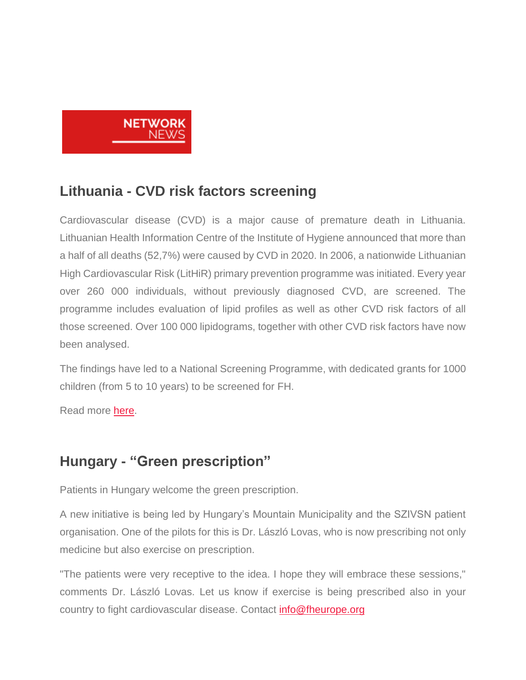

## **Lithuania - CVD risk factors screening**

Cardiovascular disease (CVD) is a major cause of premature death in Lithuania. Lithuanian Health Information Centre of the Institute of Hygiene announced that more than a half of all deaths (52,7%) were caused by CVD in 2020. In 2006, a nationwide Lithuanian High Cardiovascular Risk (LitHiR) primary prevention programme was initiated. Every year over 260 000 individuals, without previously diagnosed CVD, are screened. The programme includes evaluation of lipid profiles as well as other CVD risk factors of all those screened. Over 100 000 lipidograms, together with other CVD risk factors have now been analysed.

The findings have led to a National Screening Programme, with dedicated grants for 1000 children (from 5 to 10 years) to be screened for FH.

Read more [here.](https://fheurope.us2.list-manage.com/track/click?u=60930fdc325cffc47c2fb04ad&id=af192272fb&e=981ab6495d)

## **Hungary - "Green prescription"**

Patients in Hungary welcome the green prescription.

A new initiative is being led by Hungary's Mountain Municipality and the SZIVSN patient organisation. One of the pilots for this is Dr. László Lovas, who is now prescribing not only medicine but also exercise on prescription.

"The patients were very receptive to the idea. I hope they will embrace these sessions," comments Dr. László Lovas. Let us know if exercise is being prescribed also in your country to fight cardiovascular disease. Contact [info@fheurope.org](mailto:info@fheurope.org)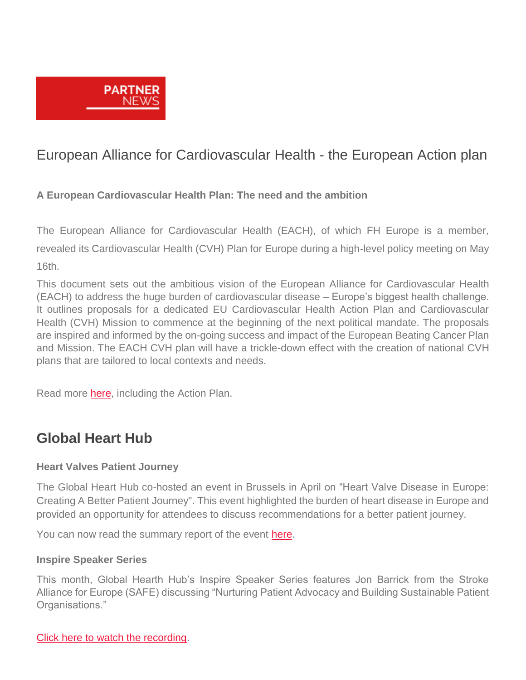

## European Alliance for Cardiovascular Health - the European Action plan

#### **A European Cardiovascular Health Plan: The need and the ambition**

The European Alliance for Cardiovascular Health (EACH), of which FH Europe is a member, revealed its Cardiovascular Health (CVH) Plan for Europe during a high-level policy meeting on May 16th.

This document sets out the ambitious vision of the European Alliance for Cardiovascular Health (EACH) to address the huge burden of cardiovascular disease – Europe's biggest health challenge. It outlines proposals for a dedicated EU Cardiovascular Health Action Plan and Cardiovascular Health (CVH) Mission to commence at the beginning of the next political mandate. The proposals are inspired and informed by the on-going success and impact of the European Beating Cancer Plan and Mission. The EACH CVH plan will have a trickle-down effect with the creation of national CVH plans that are tailored to local contexts and needs.

Read more [here,](https://fheurope.us2.list-manage.com/track/click?u=60930fdc325cffc47c2fb04ad&id=2577299ca5&e=981ab6495d) including the Action Plan.

### **Global Heart Hub**

#### **Heart Valves Patient Journey**

The Global Heart Hub co-hosted an event in Brussels in April on "Heart Valve Disease in Europe: Creating A Better Patient Journey". This event highlighted the burden of heart disease in Europe and provided an opportunity for attendees to discuss recommendations for a better patient journey.

You can now read the summary report of the event [here.](https://fheurope.us2.list-manage.com/track/click?u=60930fdc325cffc47c2fb04ad&id=da4a1166ba&e=981ab6495d)

#### **Inspire Speaker Series**

This month, Global Hearth Hub's Inspire Speaker Series features Jon Barrick from the Stroke Alliance for Europe (SAFE) discussing "Nurturing Patient Advocacy and Building Sustainable Patient Organisations."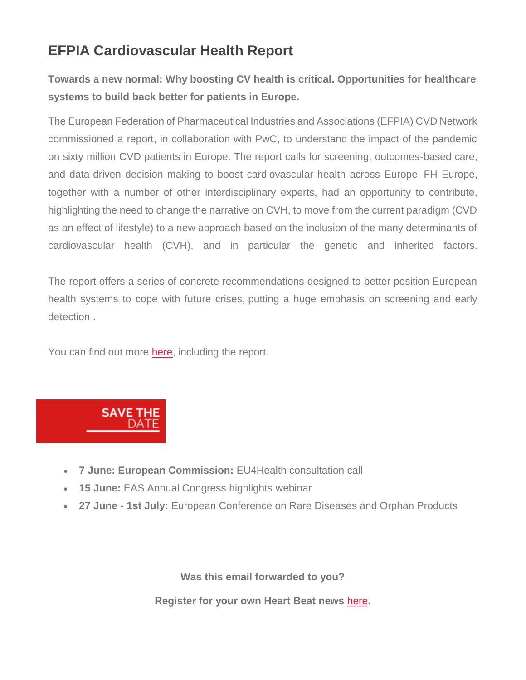# **EFPIA Cardiovascular Health Report**

**Towards a new normal: Why boosting CV health is critical. Opportunities for healthcare systems to build back better for patients in Europe.**

The European Federation of Pharmaceutical Industries and Associations (EFPIA) CVD Network commissioned a report, in collaboration with PwC, to understand the impact of the pandemic on sixty million CVD patients in Europe. The report calls for screening, outcomes-based care, and data-driven decision making to boost cardiovascular health across Europe. FH Europe, together with a number of other interdisciplinary experts, had an opportunity to contribute, highlighting the need to change the narrative on CVH, to move from the current paradigm (CVD as an effect of lifestyle) to a new approach based on the inclusion of the many determinants of cardiovascular health (CVH), and in particular the genetic and inherited factors.

The report offers a series of concrete recommendations designed to better position European health systems to cope with future crises, putting a huge emphasis on screening and early detection .

You can find out more [here,](https://fheurope.us2.list-manage.com/track/click?u=60930fdc325cffc47c2fb04ad&id=dff55f233c&e=981ab6495d) including the report.



- **7 June: European Commission:** EU4Health consultation call
- **15 June:** EAS Annual Congress highlights webinar
- **27 June - 1st July:** European Conference on Rare Diseases and Orphan Products

**Was this email forwarded to you?**

**Register for your own Heart Beat news** [here](https://fheurope.us2.list-manage.com/track/click?u=60930fdc325cffc47c2fb04ad&id=0db01cc9b3&e=981ab6495d)**.**